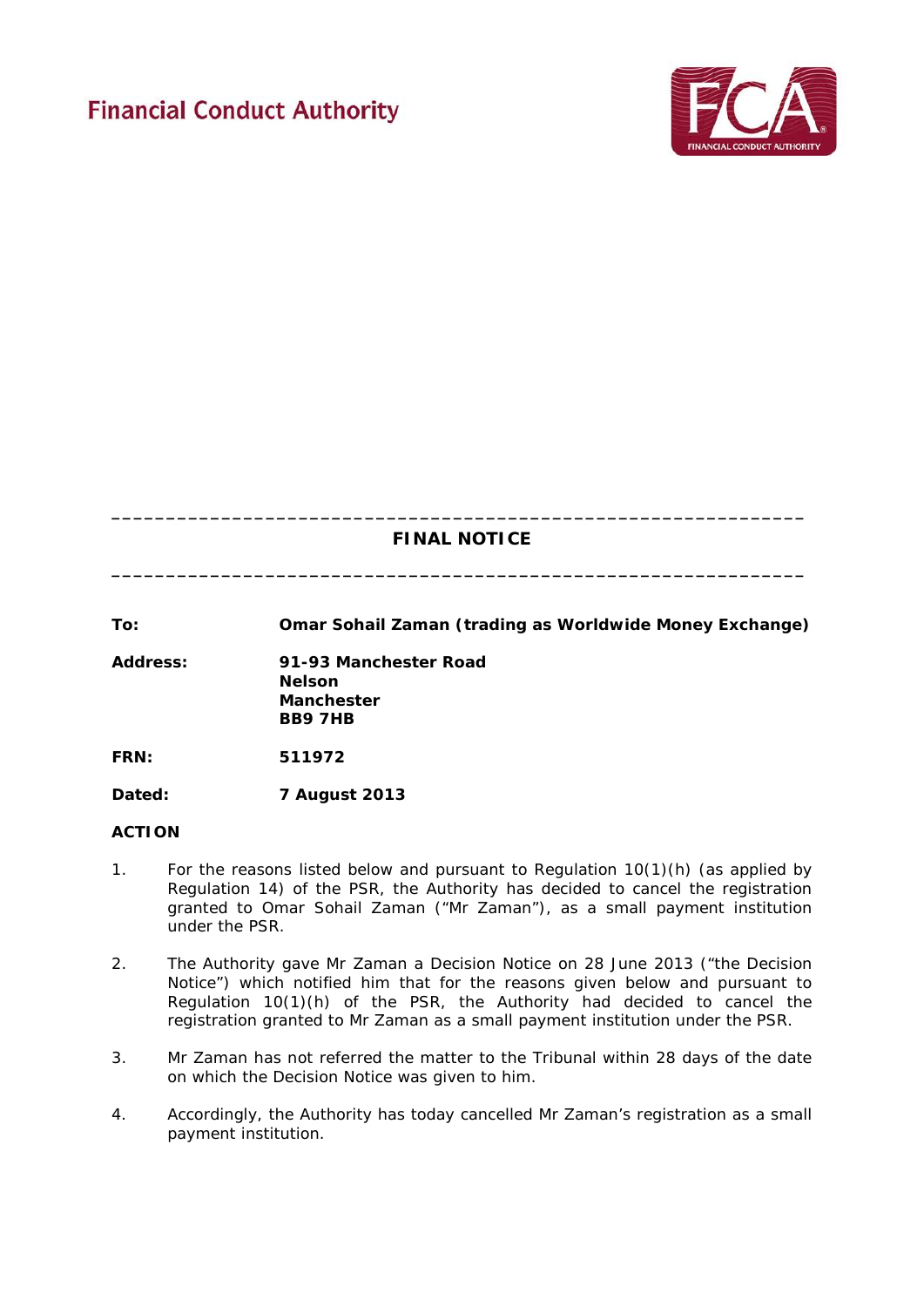# **Financial Conduct Authority**



# **\_\_\_\_\_\_\_\_\_\_\_\_\_\_\_\_\_\_\_\_\_\_\_\_\_\_\_\_\_\_\_\_\_\_\_\_\_\_\_\_\_\_\_\_\_\_\_\_\_\_\_\_\_\_\_\_\_\_\_\_\_\_\_ FINAL NOTICE**

**\_\_\_\_\_\_\_\_\_\_\_\_\_\_\_\_\_\_\_\_\_\_\_\_\_\_\_\_\_\_\_\_\_\_\_\_\_\_\_\_\_\_\_\_\_\_\_\_\_\_\_\_\_\_\_\_\_\_\_\_\_\_\_**

**To: Omar Sohail Zaman (trading as Worldwide Money Exchange)**

**Address: 91-93 Manchester Road Nelson Manchester BB9 7HB**

**FRN: 511972**

**Dated: 7 August 2013** 

# **ACTION**

- 1. For the reasons listed below and pursuant to Regulation 10(1)(h) (as applied by Regulation 14) of the PSR, the Authority has decided to cancel the registration granted to Omar Sohail Zaman ("Mr Zaman"), as a small payment institution under the PSR.
- 2. The Authority gave Mr Zaman a Decision Notice on 28 June 2013 ("the Decision Notice") which notified him that for the reasons given below and pursuant to Regulation 10(1)(h) of the PSR, the Authority had decided to cancel the registration granted to Mr Zaman as a small payment institution under the PSR.
- 3. Mr Zaman has not referred the matter to the Tribunal within 28 days of the date on which the Decision Notice was given to him.
- 4. Accordingly, the Authority has today cancelled Mr Zaman's registration as a small payment institution.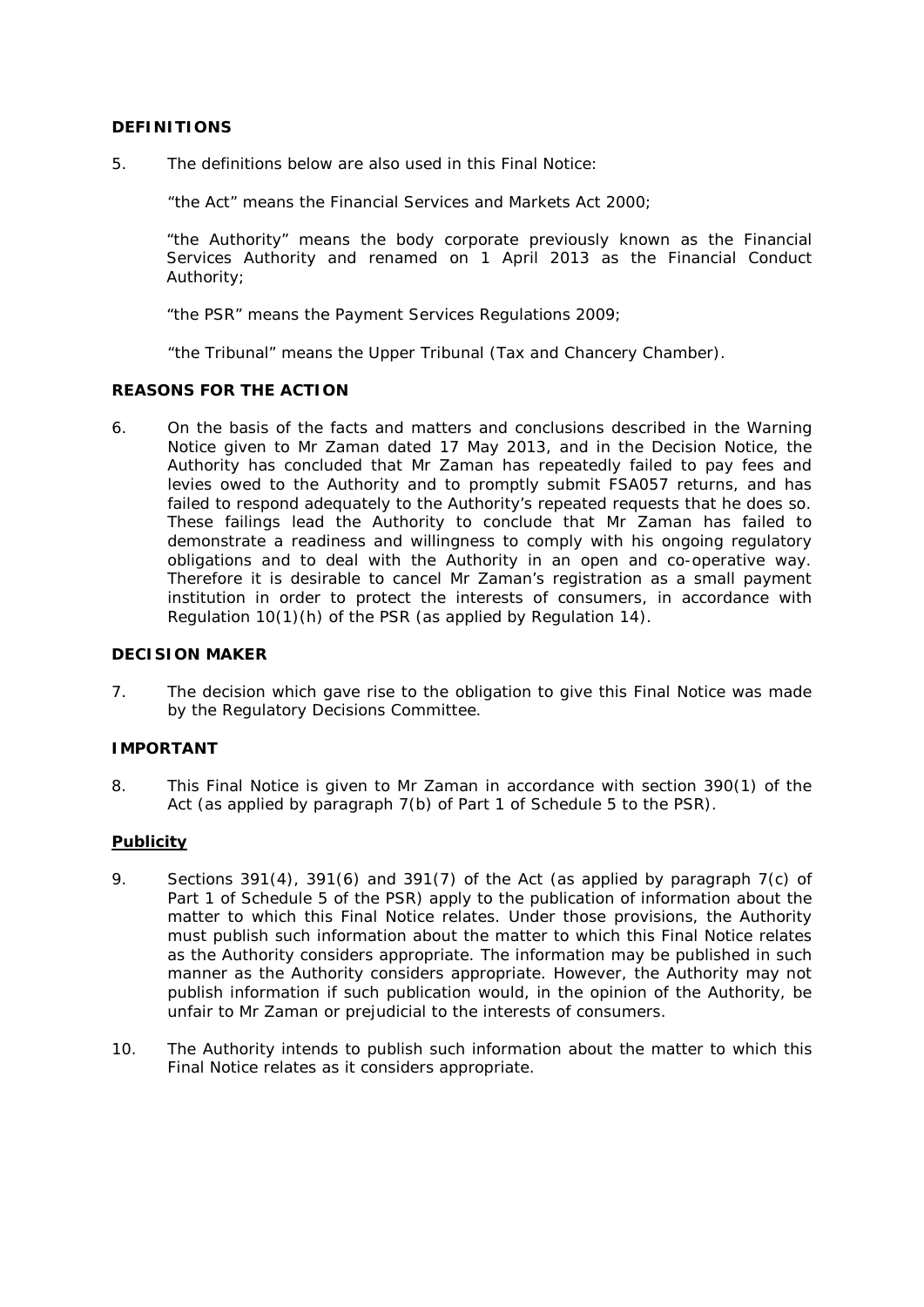# **DEFINITIONS**

5. The definitions below are also used in this Final Notice:

"the Act" means the Financial Services and Markets Act 2000;

"the Authority" means the body corporate previously known as the Financial Services Authority and renamed on 1 April 2013 as the Financial Conduct Authority;

"the PSR" means the Payment Services Regulations 2009;

"the Tribunal" means the Upper Tribunal (Tax and Chancery Chamber).

#### **REASONS FOR THE ACTION**

6. On the basis of the facts and matters and conclusions described in the Warning Notice given to Mr Zaman dated 17 May 2013, and in the Decision Notice, the Authority has concluded that Mr Zaman has repeatedly failed to pay fees and levies owed to the Authority and to promptly submit FSA057 returns, and has failed to respond adequately to the Authority's repeated requests that he does so. These failings lead the Authority to conclude that Mr Zaman has failed to demonstrate a readiness and willingness to comply with his ongoing regulatory obligations and to deal with the Authority in an open and co-operative way. Therefore it is desirable to cancel Mr Zaman's registration as a small payment institution in order to protect the interests of consumers, in accordance with Regulation 10(1)(h) of the PSR (as applied by Regulation 14).

### **DECISION MAKER**

7. The decision which gave rise to the obligation to give this Final Notice was made by the Regulatory Decisions Committee.

# **IMPORTANT**

8. This Final Notice is given to Mr Zaman in accordance with section 390(1) of the Act (as applied by paragraph 7(b) of Part 1 of Schedule 5 to the PSR).

# **Publicity**

- 9. Sections 391(4), 391(6) and 391(7) of the Act (as applied by paragraph 7(c) of Part 1 of Schedule 5 of the PSR) apply to the publication of information about the matter to which this Final Notice relates. Under those provisions, the Authority must publish such information about the matter to which this Final Notice relates as the Authority considers appropriate. The information may be published in such manner as the Authority considers appropriate. However, the Authority may not publish information if such publication would, in the opinion of the Authority, be unfair to Mr Zaman or prejudicial to the interests of consumers.
- 10. The Authority intends to publish such information about the matter to which this Final Notice relates as it considers appropriate.